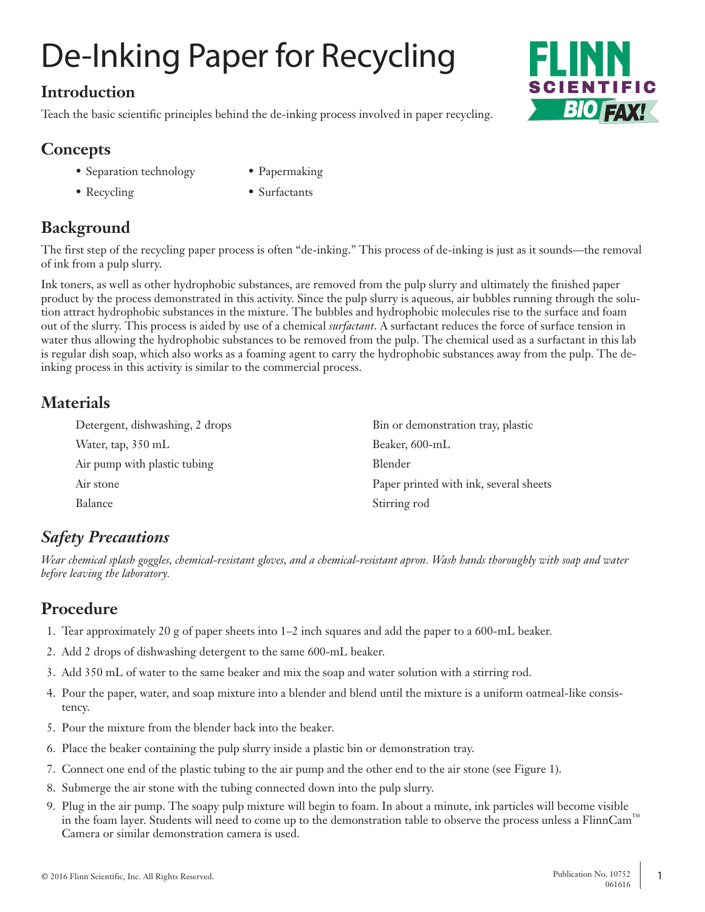# De-Inking Paper for Recycling

#### **Introduction**

Teach the basic scientific principles behind the de-inking process involved in paper recycling.

### **Concepts**

- Separation technology Papermaking
- 
- 
- Recycling Surfactants

# **Background**

The first step of the recycling paper process is often "de-inking." This process of de-inking is just as it sounds—the removal of ink from a pulp slurry.

Ink toners, as well as other hydrophobic substances, are removed from the pulp slurry and ultimately the finished paper product by the process demonstrated in this activity. Since the pulp slurry is aqueous, air bubbles running through the solution attract hydrophobic substances in the mixture. The bubbles and hydrophobic molecules rise to the surface and foam out of the slurry. This process is aided by use of a chemical *surfactant*. A surfactant reduces the force of surface tension in water thus allowing the hydrophobic substances to be removed from the pulp. The chemical used as a surfactant in this lab is regular dish soap, which also works as a foaming agent to carry the hydrophobic substances away from the pulp. The deinking process in this activity is similar to the commercial process.

#### **Materials**

| Detergent, dishwashing, 2 drops | Bin or demonstration tray, plastic     |
|---------------------------------|----------------------------------------|
| Water, tap, 350 mL              | Beaker, 600-mL                         |
| Air pump with plastic tubing    | <b>Blender</b>                         |
| Air stone                       | Paper printed with ink, several sheets |
| Balance                         | Stirring rod                           |

# *Safety Precautions*

*Wear chemical splash goggles, chemical-resistant gloves, and a chemical-resistant apron. Wash hands thoroughly with soap and water before leaving the laboratory.*

#### **Procedure**

- 1. Tear approximately 20 g of paper sheets into 1–2 inch squares and add the paper to a 600-mL beaker.
- 2. Add 2 drops of dishwashing detergent to the same 600-mL beaker.
- 3. Add 350 mL of water to the same beaker and mix the soap and water solution with a stirring rod.
- 4. Pour the paper, water, and soap mixture into a blender and blend until the mixture is a uniform oatmeal-like consistency.
- 5. Pour the mixture from the blender back into the beaker.
- 6. Place the beaker containing the pulp slurry inside a plastic bin or demonstration tray.
- 7. Connect one end of the plastic tubing to the air pump and the other end to the air stone (see Figure 1).
- 8. Submerge the air stone with the tubing connected down into the pulp slurry.
- 9. Plug in the air pump. The soapy pulp mixture will begin to foam. In about a minute, ink particles will become visible in the foam layer. Students will need to come up to the demonstration table to observe the process unless a FlinnCam™ Camera or similar demonstration camera is used.